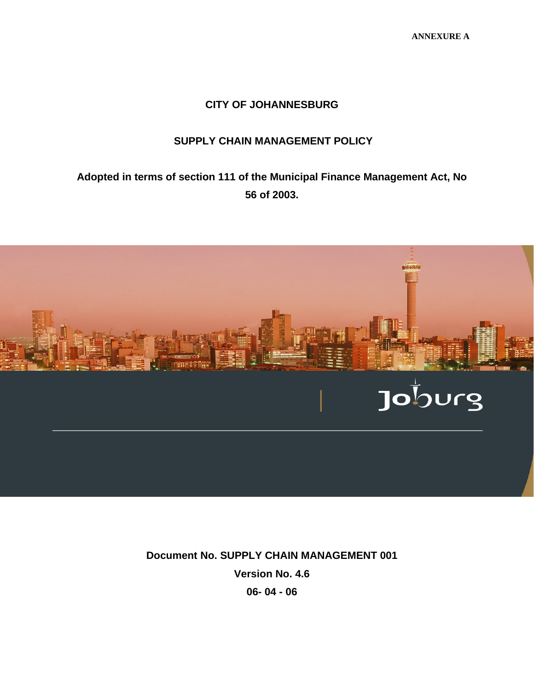#### **CITY OF JOHANNESBURG**

#### **SUPPLY CHAIN MANAGEMENT POLICY**

**Adopted in terms of section 111 of the Municipal Finance Management Act, No 56 of 2003.** 



**Document No. SUPPLY CHAIN MANAGEMENT 001 Version No. 4.6 06- 04 - 06**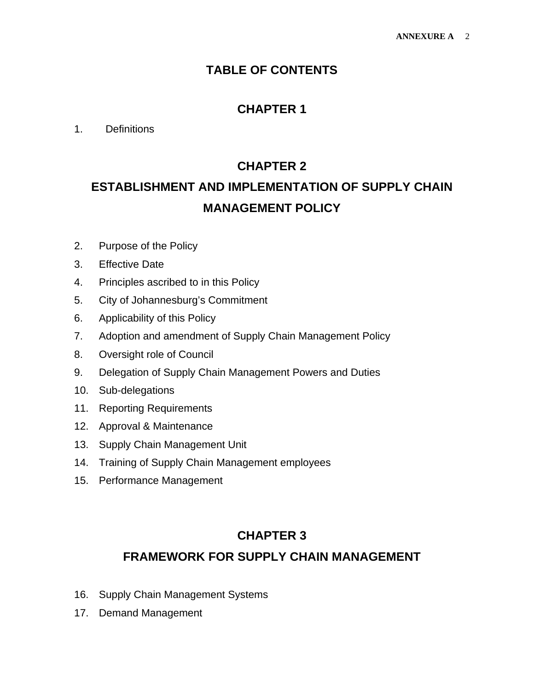### **TABLE OF CONTENTS**

### **CHAPTER 1**

#### 1. Definitions

### **CHAPTER 2**

# **ESTABLISHMENT AND IMPLEMENTATION OF SUPPLY CHAIN MANAGEMENT POLICY**

- 2. Purpose of the Policy
- 3. Effective Date
- 4. Principles ascribed to in this Policy
- 5. City of Johannesburg's Commitment
- 6. Applicability of this Policy
- 7. Adoption and amendment of Supply Chain Management Policy
- 8. Oversight role of Council
- 9. Delegation of Supply Chain Management Powers and Duties
- 10. Sub-delegations
- 11. Reporting Requirements
- 12. Approval & Maintenance
- 13. Supply Chain Management Unit
- 14. Training of Supply Chain Management employees
- 15. Performance Management

### **CHAPTER 3**

#### **FRAMEWORK FOR SUPPLY CHAIN MANAGEMENT**

- 16. Supply Chain Management Systems
- 17. Demand Management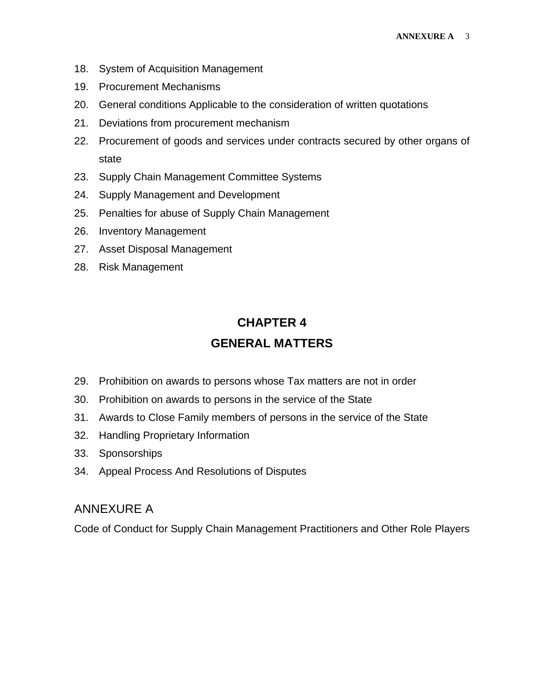- 18. System of Acquisition Management
- 19. Procurement Mechanisms
- 20. General conditions Applicable to the consideration of written quotations
- 21. Deviations from procurement mechanism
- 22. Procurement of goods and services under contracts secured by other organs of state
- 23. Supply Chain Management Committee Systems
- 24. Supply Management and Development
- 25. Penalties for abuse of Supply Chain Management
- 26. Inventory Management
- 27. Asset Disposal Management
- 28. Risk Management

## **CHAPTER 4 GENERAL MATTERS**

- 29. Prohibition on awards to persons whose Tax matters are not in order
- 30. Prohibition on awards to persons in the service of the State
- 31. Awards to Close Family members of persons in the service of the State
- 32. Handling Proprietary Information
- 33. Sponsorships
- 34. Appeal Process And Resolutions of Disputes

#### ANNEXURE A

Code of Conduct for Supply Chain Management Practitioners and Other Role Players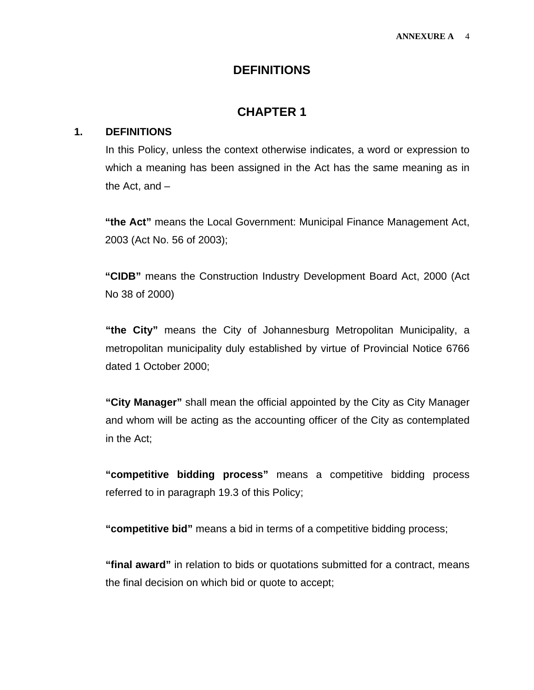#### **DEFINITIONS**

### **CHAPTER 1**

#### **1. DEFINITIONS**

In this Policy, unless the context otherwise indicates, a word or expression to which a meaning has been assigned in the Act has the same meaning as in the Act, and –

**"the Act"** means the Local Government: Municipal Finance Management Act, 2003 (Act No. 56 of 2003);

**"CIDB"** means the Construction Industry Development Board Act, 2000 (Act No 38 of 2000)

**"the City"** means the City of Johannesburg Metropolitan Municipality, a metropolitan municipality duly established by virtue of Provincial Notice 6766 dated 1 October 2000;

**"City Manager"** shall mean the official appointed by the City as City Manager and whom will be acting as the accounting officer of the City as contemplated in the Act;

**"competitive bidding process"** means a competitive bidding process referred to in paragraph 19.3 of this Policy;

**"competitive bid"** means a bid in terms of a competitive bidding process;

**"final award"** in relation to bids or quotations submitted for a contract, means the final decision on which bid or quote to accept;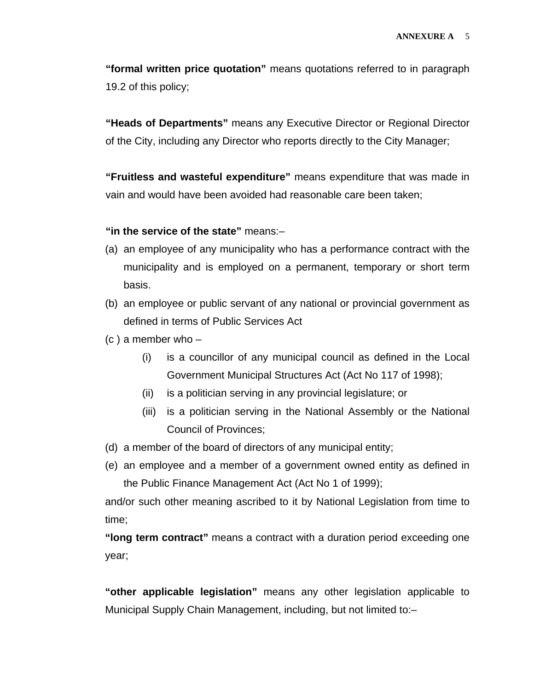**"formal written price quotation"** means quotations referred to in paragraph 19.2 of this policy;

**"Heads of Departments"** means any Executive Director or Regional Director of the City, including any Director who reports directly to the City Manager;

**"Fruitless and wasteful expenditure"** means expenditure that was made in vain and would have been avoided had reasonable care been taken;

**"in the service of the state"** means:–

- (a) an employee of any municipality who has a performance contract with the municipality and is employed on a permanent, temporary or short term basis.
- (b) an employee or public servant of any national or provincial government as defined in terms of Public Services Act
- $(c)$  a member who  $-$ 
	- (i) is a councillor of any municipal council as defined in the Local Government Municipal Structures Act (Act No 117 of 1998);
	- (ii) is a politician serving in any provincial legislature; or
	- (iii) is a politician serving in the National Assembly or the National Council of Provinces;
- (d) a member of the board of directors of any municipal entity;
- (e) an employee and a member of a government owned entity as defined in the Public Finance Management Act (Act No 1 of 1999);

and/or such other meaning ascribed to it by National Legislation from time to time;

**"long term contract"** means a contract with a duration period exceeding one year;

**"other applicable legislation"** means any other legislation applicable to Municipal Supply Chain Management, including, but not limited to:–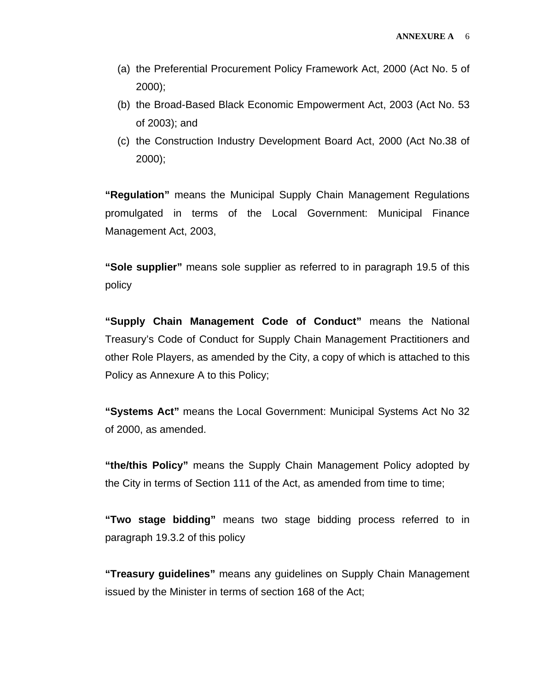- (a) the Preferential Procurement Policy Framework Act, 2000 (Act No. 5 of 2000);
- (b) the Broad-Based Black Economic Empowerment Act, 2003 (Act No. 53 of 2003); and
- (c) the Construction Industry Development Board Act, 2000 (Act No.38 of 2000);

**"Regulation"** means the Municipal Supply Chain Management Regulations promulgated in terms of the Local Government: Municipal Finance Management Act, 2003,

**"Sole supplier"** means sole supplier as referred to in paragraph 19.5 of this policy

**"Supply Chain Management Code of Conduct"** means the National Treasury's Code of Conduct for Supply Chain Management Practitioners and other Role Players, as amended by the City, a copy of which is attached to this Policy as Annexure A to this Policy;

**"Systems Act"** means the Local Government: Municipal Systems Act No 32 of 2000, as amended.

**"the/this Policy"** means the Supply Chain Management Policy adopted by the City in terms of Section 111 of the Act, as amended from time to time;

**"Two stage bidding"** means two stage bidding process referred to in paragraph 19.3.2 of this policy

**"Treasury guidelines"** means any guidelines on Supply Chain Management issued by the Minister in terms of section 168 of the Act;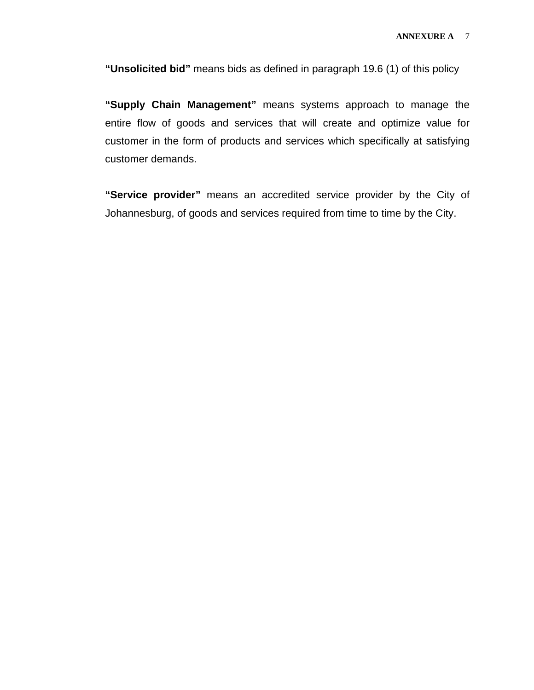**"Unsolicited bid"** means bids as defined in paragraph 19.6 (1) of this policy

**"Supply Chain Management"** means systems approach to manage the entire flow of goods and services that will create and optimize value for customer in the form of products and services which specifically at satisfying customer demands.

**"Service provider"** means an accredited service provider by the City of Johannesburg, of goods and services required from time to time by the City.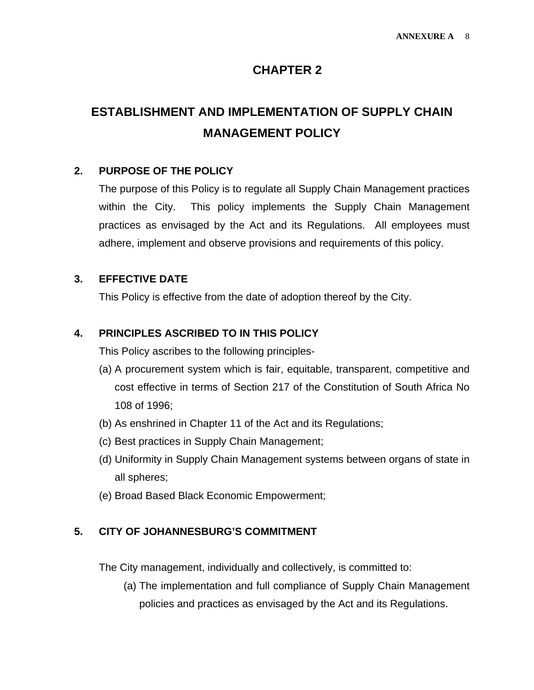### **CHAPTER 2**

# **ESTABLISHMENT AND IMPLEMENTATION OF SUPPLY CHAIN MANAGEMENT POLICY**

#### **2. PURPOSE OF THE POLICY**

The purpose of this Policy is to regulate all Supply Chain Management practices within the City. This policy implements the Supply Chain Management practices as envisaged by the Act and its Regulations. All employees must adhere, implement and observe provisions and requirements of this policy.

#### **3. EFFECTIVE DATE**

This Policy is effective from the date of adoption thereof by the City.

#### **4. PRINCIPLES ASCRIBED TO IN THIS POLICY**

This Policy ascribes to the following principles-

- (a) A procurement system which is fair, equitable, transparent, competitive and cost effective in terms of Section 217 of the Constitution of South Africa No 108 of 1996;
- (b) As enshrined in Chapter 11 of the Act and its Regulations;
- (c) Best practices in Supply Chain Management;
- (d) Uniformity in Supply Chain Management systems between organs of state in all spheres;
- (e) Broad Based Black Economic Empowerment;

#### **5. CITY OF JOHANNESBURG'S COMMITMENT**

The City management, individually and collectively, is committed to:

(a) The implementation and full compliance of Supply Chain Management policies and practices as envisaged by the Act and its Regulations.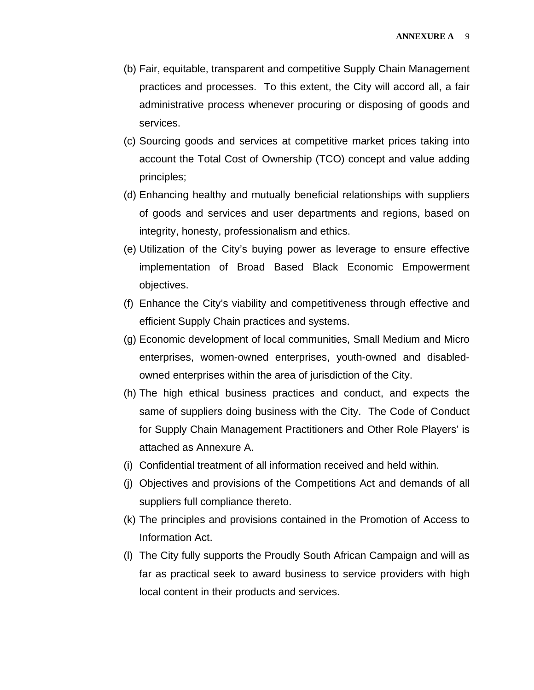- (b) Fair, equitable, transparent and competitive Supply Chain Management practices and processes. To this extent, the City will accord all, a fair administrative process whenever procuring or disposing of goods and services.
- (c) Sourcing goods and services at competitive market prices taking into account the Total Cost of Ownership (TCO) concept and value adding principles;
- (d) Enhancing healthy and mutually beneficial relationships with suppliers of goods and services and user departments and regions, based on integrity, honesty, professionalism and ethics.
- (e) Utilization of the City's buying power as leverage to ensure effective implementation of Broad Based Black Economic Empowerment objectives.
- (f) Enhance the City's viability and competitiveness through effective and efficient Supply Chain practices and systems.
- (g) Economic development of local communities, Small Medium and Micro enterprises, women-owned enterprises, youth-owned and disabledowned enterprises within the area of jurisdiction of the City.
- (h) The high ethical business practices and conduct, and expects the same of suppliers doing business with the City. The Code of Conduct for Supply Chain Management Practitioners and Other Role Players' is attached as Annexure A.
- (i) Confidential treatment of all information received and held within.
- (j) Objectives and provisions of the Competitions Act and demands of all suppliers full compliance thereto.
- (k) The principles and provisions contained in the Promotion of Access to Information Act.
- (l) The City fully supports the Proudly South African Campaign and will as far as practical seek to award business to service providers with high local content in their products and services.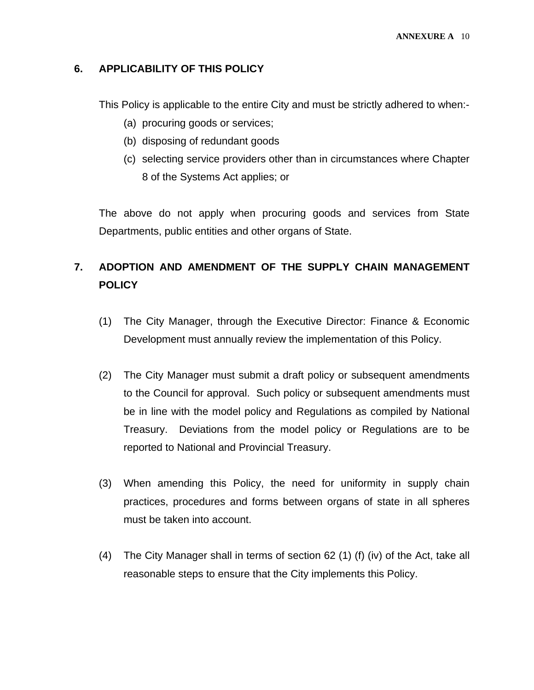#### **6. APPLICABILITY OF THIS POLICY**

This Policy is applicable to the entire City and must be strictly adhered to when:-

- (a) procuring goods or services;
- (b) disposing of redundant goods
- (c) selecting service providers other than in circumstances where Chapter 8 of the Systems Act applies; or

The above do not apply when procuring goods and services from State Departments, public entities and other organs of State.

### **7. ADOPTION AND AMENDMENT OF THE SUPPLY CHAIN MANAGEMENT POLICY**

- (1) The City Manager, through the Executive Director: Finance & Economic Development must annually review the implementation of this Policy.
- (2) The City Manager must submit a draft policy or subsequent amendments to the Council for approval. Such policy or subsequent amendments must be in line with the model policy and Regulations as compiled by National Treasury. Deviations from the model policy or Regulations are to be reported to National and Provincial Treasury.
- (3) When amending this Policy, the need for uniformity in supply chain practices, procedures and forms between organs of state in all spheres must be taken into account.
- (4) The City Manager shall in terms of section 62 (1) (f) (iv) of the Act, take all reasonable steps to ensure that the City implements this Policy.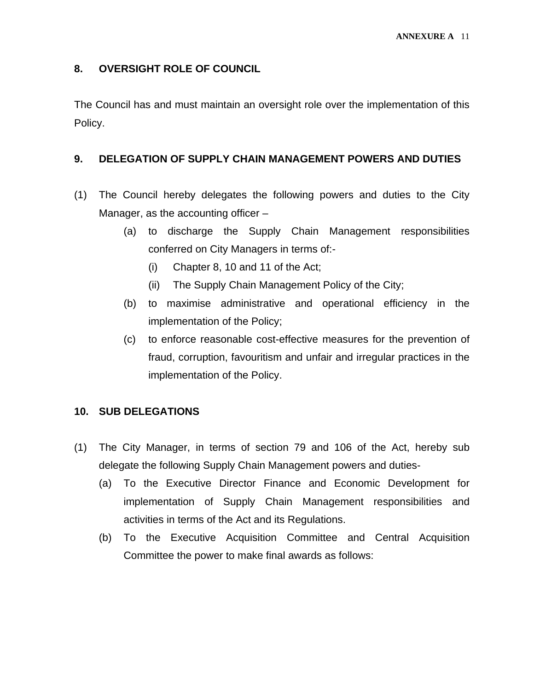#### **8. OVERSIGHT ROLE OF COUNCIL**

The Council has and must maintain an oversight role over the implementation of this Policy.

#### **9. DELEGATION OF SUPPLY CHAIN MANAGEMENT POWERS AND DUTIES**

- (1) The Council hereby delegates the following powers and duties to the City Manager, as the accounting officer –
	- (a) to discharge the Supply Chain Management responsibilities conferred on City Managers in terms of:-
		- (i) Chapter 8, 10 and 11 of the Act;
		- (ii) The Supply Chain Management Policy of the City;
	- (b) to maximise administrative and operational efficiency in the implementation of the Policy;
	- (c) to enforce reasonable cost-effective measures for the prevention of fraud, corruption, favouritism and unfair and irregular practices in the implementation of the Policy.

#### **10. SUB DELEGATIONS**

- (1) The City Manager, in terms of section 79 and 106 of the Act, hereby sub delegate the following Supply Chain Management powers and duties-
	- (a) To the Executive Director Finance and Economic Development for implementation of Supply Chain Management responsibilities and activities in terms of the Act and its Regulations.
	- (b) To the Executive Acquisition Committee and Central Acquisition Committee the power to make final awards as follows: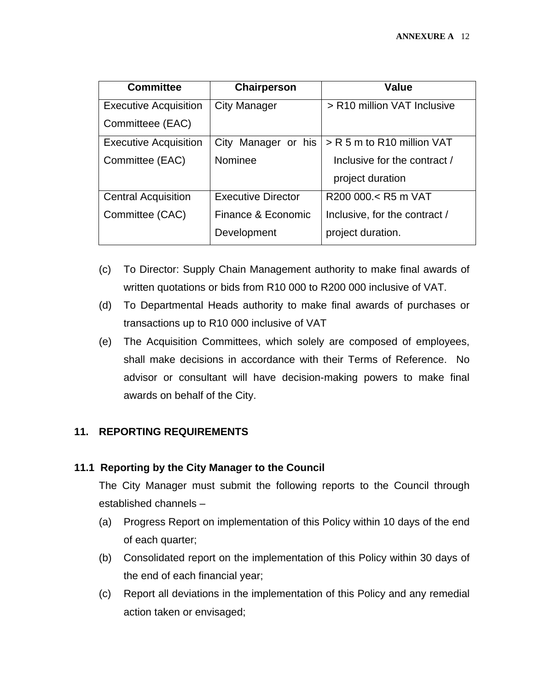| <b>Committee</b>             | Chairperson         | Value                         |
|------------------------------|---------------------|-------------------------------|
| <b>Executive Acquisition</b> | <b>City Manager</b> | > R10 million VAT Inclusive   |
| Committeee (EAC)             |                     |                               |
| <b>Executive Acquisition</b> | City Manager or his | > R 5 m to R10 million VAT    |
| Committee (EAC)              | Nominee             | Inclusive for the contract /  |
|                              |                     | project duration              |
| <b>Central Acquisition</b>   | Executive Director  | R200 000.< R5 m VAT           |
| Committee (CAC)              | Finance & Economic  | Inclusive, for the contract / |
|                              | Development         | project duration.             |

- (c) To Director: Supply Chain Management authority to make final awards of written quotations or bids from R10 000 to R200 000 inclusive of VAT.
- (d) To Departmental Heads authority to make final awards of purchases or transactions up to R10 000 inclusive of VAT
- (e) The Acquisition Committees, which solely are composed of employees, shall make decisions in accordance with their Terms of Reference. No advisor or consultant will have decision-making powers to make final awards on behalf of the City.

#### **11. REPORTING REQUIREMENTS**

#### **11.1 Reporting by the City Manager to the Council**

The City Manager must submit the following reports to the Council through established channels –

- (a) Progress Report on implementation of this Policy within 10 days of the end of each quarter;
- (b) Consolidated report on the implementation of this Policy within 30 days of the end of each financial year;
- (c) Report all deviations in the implementation of this Policy and any remedial action taken or envisaged;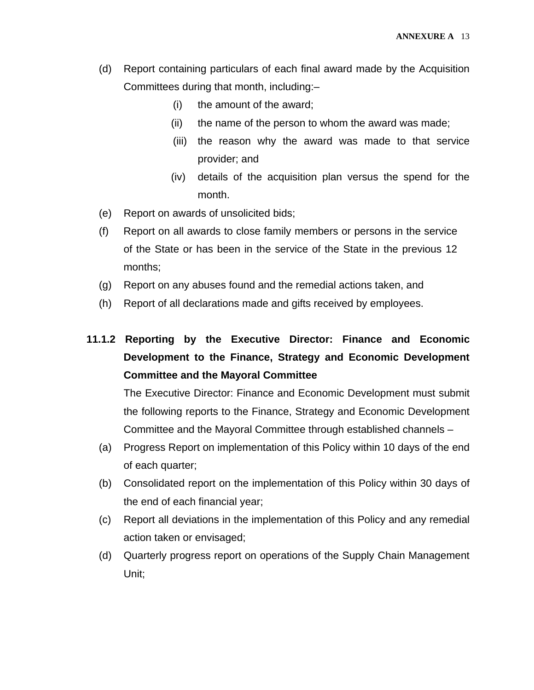- (d) Report containing particulars of each final award made by the Acquisition Committees during that month, including:–
	- (i) the amount of the award;
	- (ii) the name of the person to whom the award was made;
	- (iii) the reason why the award was made to that service provider; and
	- (iv) details of the acquisition plan versus the spend for the month.
- (e) Report on awards of unsolicited bids;
- (f) Report on all awards to close family members or persons in the service of the State or has been in the service of the State in the previous 12 months;
- (g) Report on any abuses found and the remedial actions taken, and
- (h) Report of all declarations made and gifts received by employees.

### **11.1.2 Reporting by the Executive Director: Finance and Economic Development to the Finance, Strategy and Economic Development Committee and the Mayoral Committee**

The Executive Director: Finance and Economic Development must submit the following reports to the Finance, Strategy and Economic Development Committee and the Mayoral Committee through established channels –

- (a) Progress Report on implementation of this Policy within 10 days of the end of each quarter;
- (b) Consolidated report on the implementation of this Policy within 30 days of the end of each financial year;
- (c) Report all deviations in the implementation of this Policy and any remedial action taken or envisaged;
- (d) Quarterly progress report on operations of the Supply Chain Management Unit;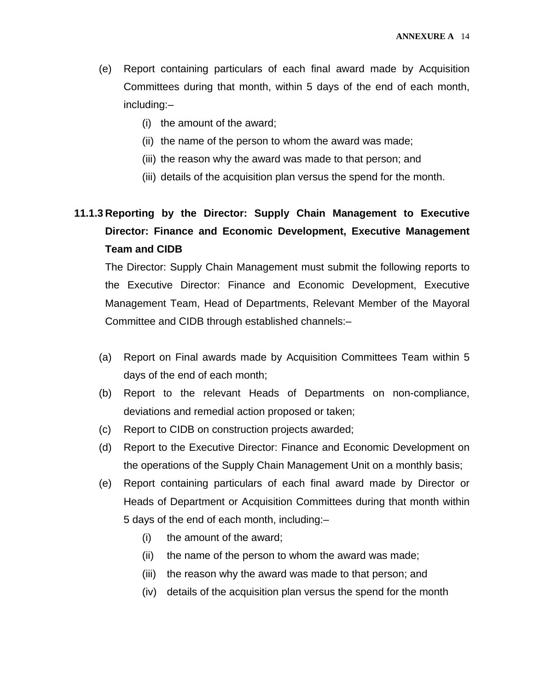- (e) Report containing particulars of each final award made by Acquisition Committees during that month, within 5 days of the end of each month, including:–
	- (i) the amount of the award;
	- (ii) the name of the person to whom the award was made;
	- (iii) the reason why the award was made to that person; and
	- (iii) details of the acquisition plan versus the spend for the month.

### **11.1.3 Reporting by the Director: Supply Chain Management to Executive Director: Finance and Economic Development, Executive Management Team and CIDB**

The Director: Supply Chain Management must submit the following reports to the Executive Director: Finance and Economic Development, Executive Management Team, Head of Departments, Relevant Member of the Mayoral Committee and CIDB through established channels:–

- (a) Report on Final awards made by Acquisition Committees Team within 5 days of the end of each month;
- (b) Report to the relevant Heads of Departments on non-compliance, deviations and remedial action proposed or taken;
- (c) Report to CIDB on construction projects awarded;
- (d) Report to the Executive Director: Finance and Economic Development on the operations of the Supply Chain Management Unit on a monthly basis;
- (e) Report containing particulars of each final award made by Director or Heads of Department or Acquisition Committees during that month within 5 days of the end of each month, including:–
	- (i) the amount of the award;
	- (ii) the name of the person to whom the award was made;
	- (iii) the reason why the award was made to that person; and
	- (iv) details of the acquisition plan versus the spend for the month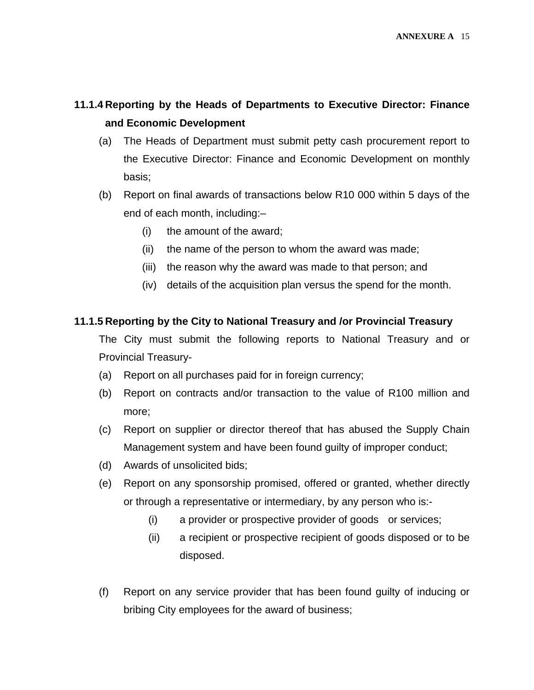### **11.1.4 Reporting by the Heads of Departments to Executive Director: Finance and Economic Development**

- (a) The Heads of Department must submit petty cash procurement report to the Executive Director: Finance and Economic Development on monthly basis;
- (b) Report on final awards of transactions below R10 000 within 5 days of the end of each month, including:–
	- (i) the amount of the award;
	- (ii) the name of the person to whom the award was made;
	- (iii) the reason why the award was made to that person; and
	- (iv) details of the acquisition plan versus the spend for the month.

#### **11.1.5 Reporting by the City to National Treasury and /or Provincial Treasury**

The City must submit the following reports to National Treasury and or Provincial Treasury-

- (a) Report on all purchases paid for in foreign currency;
- (b) Report on contracts and/or transaction to the value of R100 million and more;
- (c) Report on supplier or director thereof that has abused the Supply Chain Management system and have been found guilty of improper conduct;
- (d) Awards of unsolicited bids;
- (e) Report on any sponsorship promised, offered or granted, whether directly or through a representative or intermediary, by any person who is:-
	- (i) a provider or prospective provider of goods or services;
	- (ii) a recipient or prospective recipient of goods disposed or to be disposed.
- (f) Report on any service provider that has been found guilty of inducing or bribing City employees for the award of business;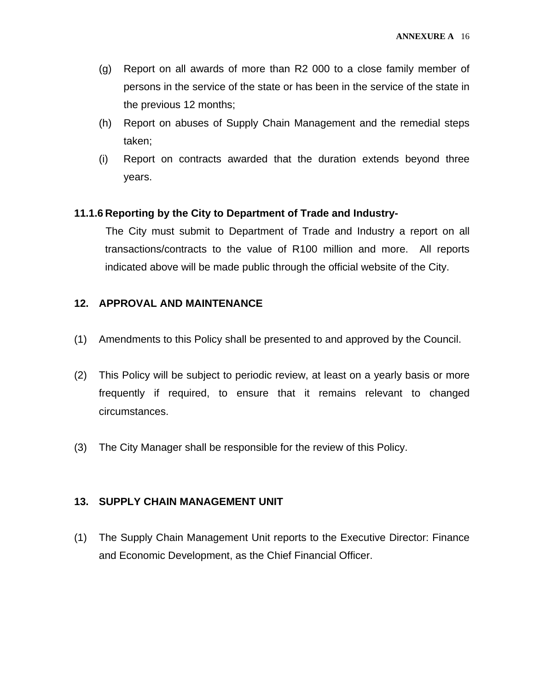- (g) Report on all awards of more than R2 000 to a close family member of persons in the service of the state or has been in the service of the state in the previous 12 months;
- (h) Report on abuses of Supply Chain Management and the remedial steps taken;
- (i) Report on contracts awarded that the duration extends beyond three years.

#### **11.1.6 Reporting by the City to Department of Trade and Industry-**

 The City must submit to Department of Trade and Industry a report on all transactions/contracts to the value of R100 million and more. All reports indicated above will be made public through the official website of the City.

#### **12. APPROVAL AND MAINTENANCE**

- (1) Amendments to this Policy shall be presented to and approved by the Council.
- (2) This Policy will be subject to periodic review, at least on a yearly basis or more frequently if required, to ensure that it remains relevant to changed circumstances.
- (3) The City Manager shall be responsible for the review of this Policy.

#### **13. SUPPLY CHAIN MANAGEMENT UNIT**

(1) The Supply Chain Management Unit reports to the Executive Director: Finance and Economic Development, as the Chief Financial Officer.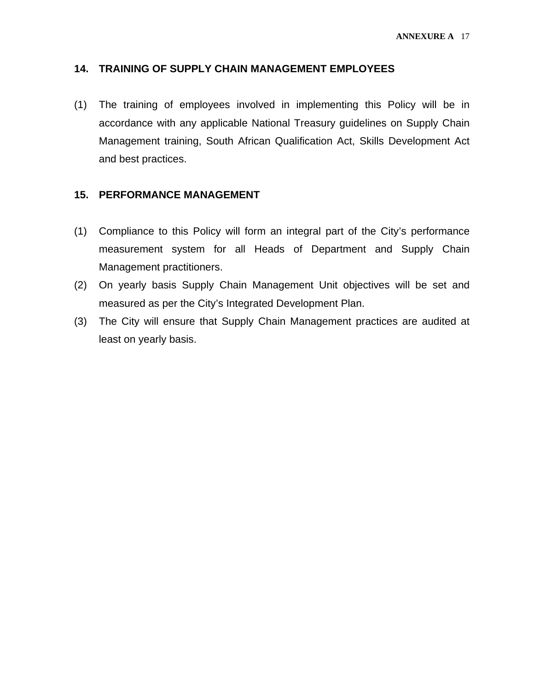#### **14. TRAINING OF SUPPLY CHAIN MANAGEMENT EMPLOYEES**

(1) The training of employees involved in implementing this Policy will be in accordance with any applicable National Treasury guidelines on Supply Chain Management training, South African Qualification Act, Skills Development Act and best practices.

#### **15. PERFORMANCE MANAGEMENT**

- (1) Compliance to this Policy will form an integral part of the City's performance measurement system for all Heads of Department and Supply Chain Management practitioners.
- (2) On yearly basis Supply Chain Management Unit objectives will be set and measured as per the City's Integrated Development Plan.
- (3) The City will ensure that Supply Chain Management practices are audited at least on yearly basis.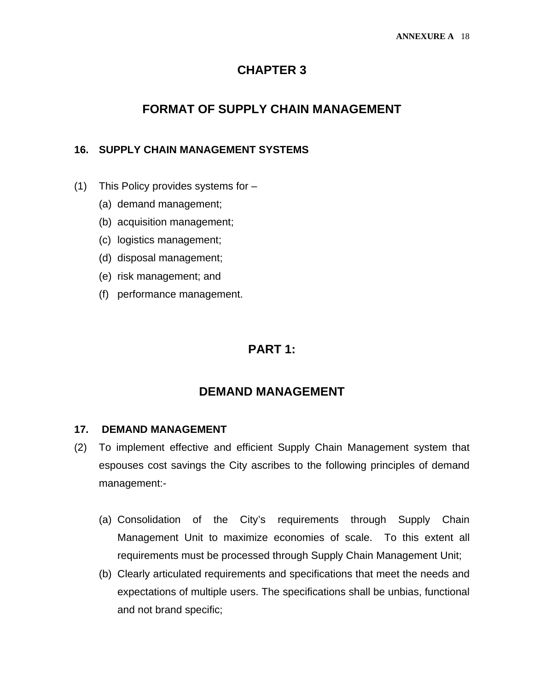#### **CHAPTER 3**

### **FORMAT OF SUPPLY CHAIN MANAGEMENT**

#### **16. SUPPLY CHAIN MANAGEMENT SYSTEMS**

- (1) This Policy provides systems for
	- (a) demand management;
	- (b) acquisition management;
	- (c) logistics management;
	- (d) disposal management;
	- (e) risk management; and
	- (f) performance management.

#### **PART 1:**

#### **DEMAND MANAGEMENT**

#### **17. DEMAND MANAGEMENT**

- (2) To implement effective and efficient Supply Chain Management system that espouses cost savings the City ascribes to the following principles of demand management:-
	- (a) Consolidation of the City's requirements through Supply Chain Management Unit to maximize economies of scale. To this extent all requirements must be processed through Supply Chain Management Unit;
	- (b) Clearly articulated requirements and specifications that meet the needs and expectations of multiple users. The specifications shall be unbias, functional and not brand specific;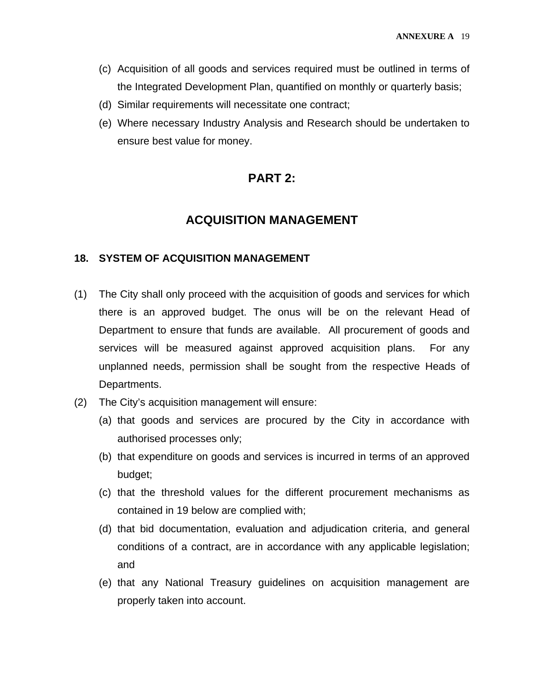- (c) Acquisition of all goods and services required must be outlined in terms of the Integrated Development Plan, quantified on monthly or quarterly basis;
- (d) Similar requirements will necessitate one contract;
- (e) Where necessary Industry Analysis and Research should be undertaken to ensure best value for money.

### **PART 2:**

### **ACQUISITION MANAGEMENT**

#### **18. SYSTEM OF ACQUISITION MANAGEMENT**

- (1) The City shall only proceed with the acquisition of goods and services for which there is an approved budget. The onus will be on the relevant Head of Department to ensure that funds are available. All procurement of goods and services will be measured against approved acquisition plans. For any unplanned needs, permission shall be sought from the respective Heads of Departments.
- (2) The City's acquisition management will ensure:
	- (a) that goods and services are procured by the City in accordance with authorised processes only;
	- (b) that expenditure on goods and services is incurred in terms of an approved budget;
	- (c) that the threshold values for the different procurement mechanisms as contained in 19 below are complied with;
	- (d) that bid documentation, evaluation and adjudication criteria, and general conditions of a contract, are in accordance with any applicable legislation; and
	- (e) that any National Treasury guidelines on acquisition management are properly taken into account.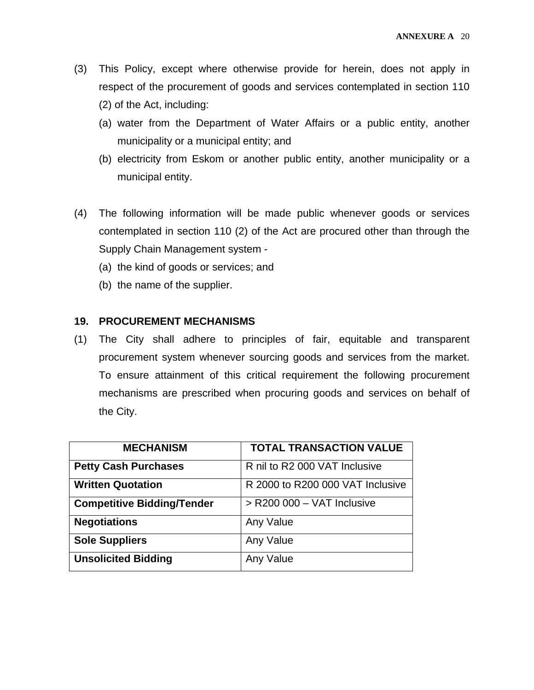- (3) This Policy, except where otherwise provide for herein, does not apply in respect of the procurement of goods and services contemplated in section 110 (2) of the Act, including:
	- (a) water from the Department of Water Affairs or a public entity, another municipality or a municipal entity; and
	- (b) electricity from Eskom or another public entity, another municipality or a municipal entity.
- (4) The following information will be made public whenever goods or services contemplated in section 110 (2) of the Act are procured other than through the Supply Chain Management system -
	- (a) the kind of goods or services; and
	- (b) the name of the supplier.

#### **19. PROCUREMENT MECHANISMS**

(1) The City shall adhere to principles of fair, equitable and transparent procurement system whenever sourcing goods and services from the market. To ensure attainment of this critical requirement the following procurement mechanisms are prescribed when procuring goods and services on behalf of the City.

| <b>MECHANISM</b>                  | <b>TOTAL TRANSACTION VALUE</b>   |
|-----------------------------------|----------------------------------|
| <b>Petty Cash Purchases</b>       | R nil to R2 000 VAT Inclusive    |
| <b>Written Quotation</b>          | R 2000 to R200 000 VAT Inclusive |
| <b>Competitive Bidding/Tender</b> | $>$ R200 000 - VAT Inclusive     |
| <b>Negotiations</b>               | Any Value                        |
| <b>Sole Suppliers</b>             | Any Value                        |
| <b>Unsolicited Bidding</b>        | Any Value                        |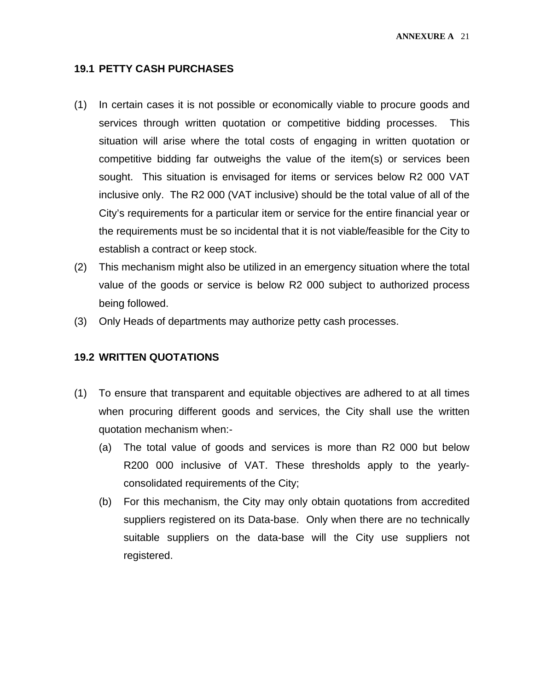#### **19.1 PETTY CASH PURCHASES**

- (1) In certain cases it is not possible or economically viable to procure goods and services through written quotation or competitive bidding processes. This situation will arise where the total costs of engaging in written quotation or competitive bidding far outweighs the value of the item(s) or services been sought. This situation is envisaged for items or services below R2 000 VAT inclusive only. The R2 000 (VAT inclusive) should be the total value of all of the City's requirements for a particular item or service for the entire financial year or the requirements must be so incidental that it is not viable/feasible for the City to establish a contract or keep stock.
- (2) This mechanism might also be utilized in an emergency situation where the total value of the goods or service is below R2 000 subject to authorized process being followed.
- (3) Only Heads of departments may authorize petty cash processes.

#### **19.2 WRITTEN QUOTATIONS**

- (1) To ensure that transparent and equitable objectives are adhered to at all times when procuring different goods and services, the City shall use the written quotation mechanism when:-
	- (a) The total value of goods and services is more than R2 000 but below R200 000 inclusive of VAT. These thresholds apply to the yearlyconsolidated requirements of the City;
	- (b) For this mechanism, the City may only obtain quotations from accredited suppliers registered on its Data-base. Only when there are no technically suitable suppliers on the data-base will the City use suppliers not registered.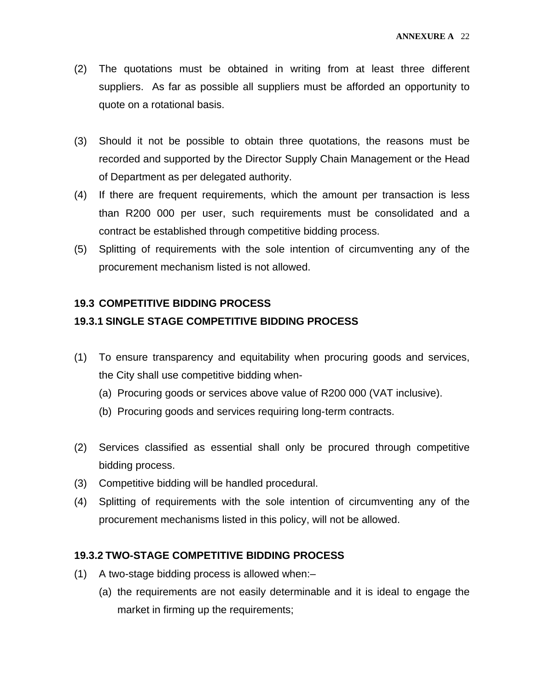- (2) The quotations must be obtained in writing from at least three different suppliers. As far as possible all suppliers must be afforded an opportunity to quote on a rotational basis.
- (3) Should it not be possible to obtain three quotations, the reasons must be recorded and supported by the Director Supply Chain Management or the Head of Department as per delegated authority.
- (4) If there are frequent requirements, which the amount per transaction is less than R200 000 per user, such requirements must be consolidated and a contract be established through competitive bidding process.
- (5) Splitting of requirements with the sole intention of circumventing any of the procurement mechanism listed is not allowed.

#### **19.3 COMPETITIVE BIDDING PROCESS**

#### **19.3.1 SINGLE STAGE COMPETITIVE BIDDING PROCESS**

- (1) To ensure transparency and equitability when procuring goods and services, the City shall use competitive bidding when-
	- (a) Procuring goods or services above value of R200 000 (VAT inclusive).
	- (b) Procuring goods and services requiring long- term contracts.
- (2) Services classified as essential shall only be procured through competitive bidding process.
- (3) Competitive bidding will be handled procedural.
- (4) Splitting of requirements with the sole intention of circumventing any of the procurement mechanisms listed in this policy, will not be allowed.

#### **19.3.2 TWO-STAGE COMPETITIVE BIDDING PROCESS**

- (1) A two-stage bidding process is allowed when:–
	- (a) the requirements are not easily determinable and it is ideal to engage the market in firming up the requirements;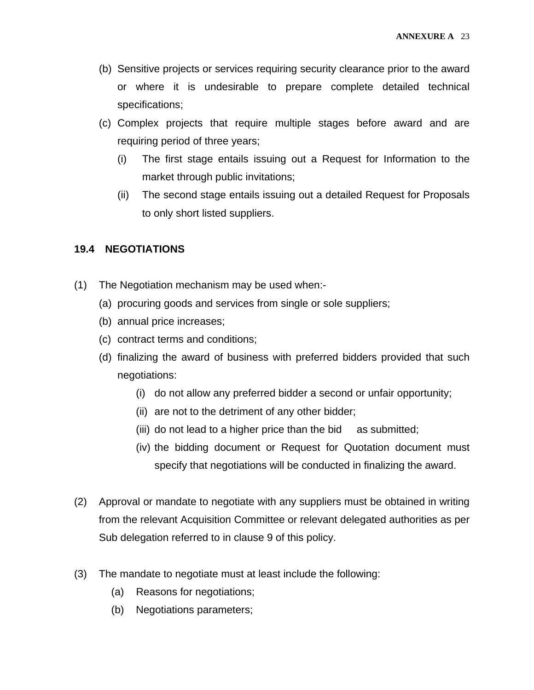- (b) Sensitive projects or services requiring security clearance prior to the award or where it is undesirable to prepare complete detailed technical specifications;
- (c) Complex projects that require multiple stages before award and are requiring period of three years;
	- (i) The first stage entails issuing out a Request for Information to the market through public invitations;
	- (ii) The second stage entails issuing out a detailed Request for Proposals to only short listed suppliers.

#### **19.4 NEGOTIATIONS**

- (1) The Negotiation mechanism may be used when:-
	- (a) procuring goods and services from single or sole suppliers;
	- (b) annual price increases;
	- (c) contract terms and conditions;
	- (d) finalizing the award of business with preferred bidders provided that such negotiations:
		- (i) do not allow any preferred bidder a second or unfair opportunity;
		- (ii) are not to the detriment of any other bidder;
		- (iii) do not lead to a higher price than the bid as submitted;
		- (iv) the bidding document or Request for Quotation document must specify that negotiations will be conducted in finalizing the award.
- (2) Approval or mandate to negotiate with any suppliers must be obtained in writing from the relevant Acquisition Committee or relevant delegated authorities as per Sub delegation referred to in clause 9 of this policy.
- (3) The mandate to negotiate must at least include the following:
	- (a) Reasons for negotiations;
	- (b) Negotiations parameters;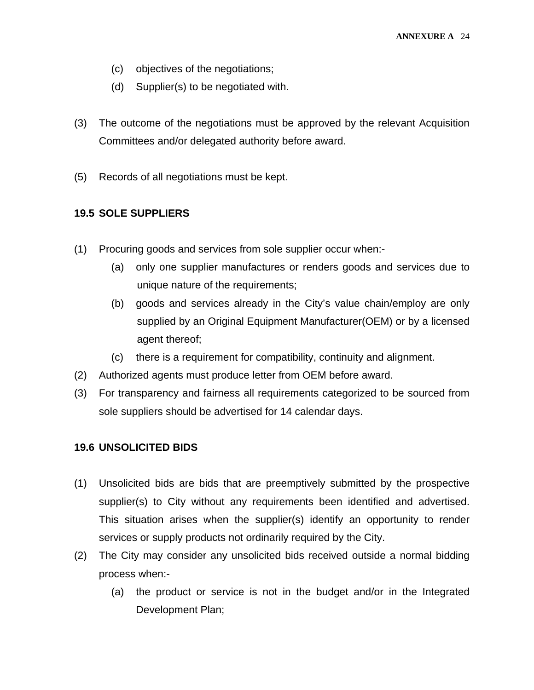- (c) objectives of the negotiations;
- (d) Supplier(s) to be negotiated with.
- (3) The outcome of the negotiations must be approved by the relevant Acquisition Committees and/or delegated authority before award.
- (5) Records of all negotiations must be kept.

#### **19.5 SOLE SUPPLIERS**

- (1) Procuring goods and services from sole supplier occur when:-
	- (a) only one supplier manufactures or renders goods and services due to unique nature of the requirements;
	- (b) goods and services already in the City's value chain/employ are only supplied by an Original Equipment Manufacturer(OEM) or by a licensed agent thereof;
	- (c) there is a requirement for compatibility, continuity and alignment.
- (2) Authorized agents must produce letter from OEM before award.
- (3) For transparency and fairness all requirements categorized to be sourced from sole suppliers should be advertised for 14 calendar days.

#### **19.6 UNSOLICITED BIDS**

- (1) Unsolicited bids are bids that are preemptively submitted by the prospective supplier(s) to City without any requirements been identified and advertised. This situation arises when the supplier(s) identify an opportunity to render services or supply products not ordinarily required by the City.
- (2) The City may consider any unsolicited bids received outside a normal bidding process when:-
	- (a) the product or service is not in the budget and/or in the Integrated Development Plan;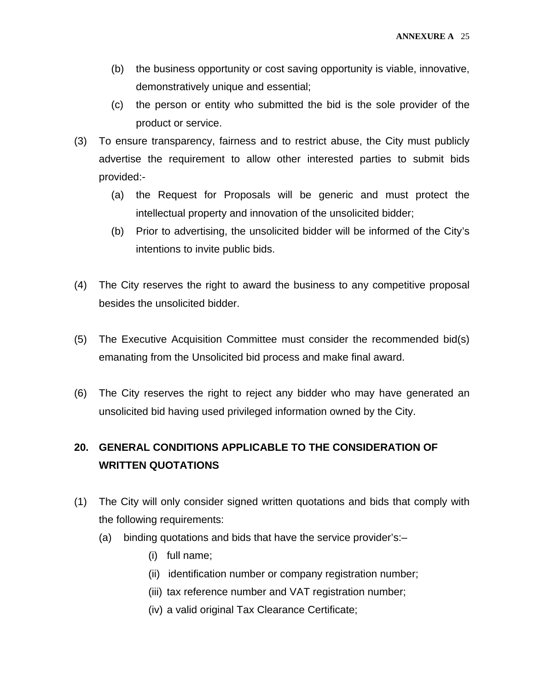- (b) the business opportunity or cost saving opportunity is viable, innovative, demonstratively unique and essential;
- (c) the person or entity who submitted the bid is the sole provider of the product or service.
- (3) To ensure transparency, fairness and to restrict abuse, the City must publicly advertise the requirement to allow other interested parties to submit bids provided:-
	- (a) the Request for Proposals will be generic and must protect the intellectual property and innovation of the unsolicited bidder;
	- (b) Prior to advertising, the unsolicited bidder will be informed of the City's intentions to invite public bids.
- (4) The City reserves the right to award the business to any competitive proposal besides the unsolicited bidder.
- (5) The Executive Acquisition Committee must consider the recommended bid(s) emanating from the Unsolicited bid process and make final award.
- (6) The City reserves the right to reject any bidder who may have generated an unsolicited bid having used privileged information owned by the City.

### **20. GENERAL CONDITIONS APPLICABLE TO THE CONSIDERATION OF WRITTEN QUOTATIONS**

- (1) The City will only consider signed written quotations and bids that comply with the following requirements:
	- (a) binding quotations and bids that have the service provider's:–
		- (i) full name;
		- (ii) identification number or company registration number;
		- (iii) tax reference number and VAT registration number;
		- (iv) a valid original Tax Clearance Certificate;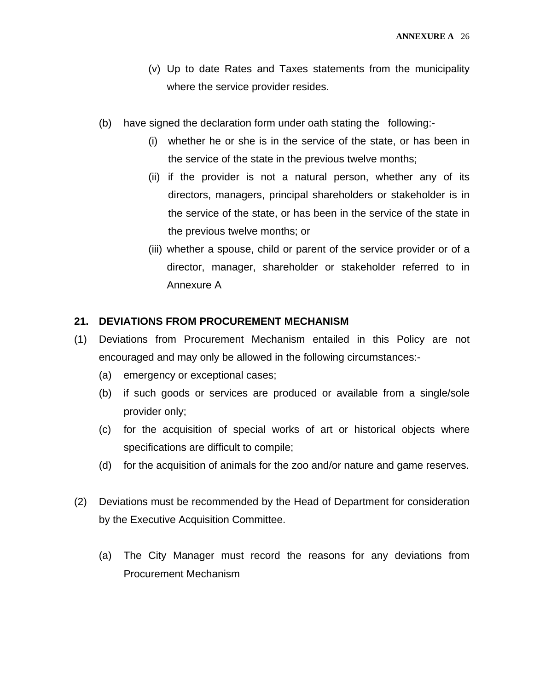- (v) Up to date Rates and Taxes statements from the municipality where the service provider resides.
- (b) have signed the declaration form under oath stating the following:-
	- (i) whether he or she is in the service of the state, or has been in the service of the state in the previous twelve months;
	- (ii) if the provider is not a natural person, whether any of its directors, managers, principal shareholders or stakeholder is in the service of the state, or has been in the service of the state in the previous twelve months; or
	- (iii) whether a spouse, child or parent of the service provider or of a director, manager, shareholder or stakeholder referred to in Annexure A

#### **21. DEVIATIONS FROM PROCUREMENT MECHANISM**

- (1) Deviations from Procurement Mechanism entailed in this Policy are not encouraged and may only be allowed in the following circumstances:-
	- (a) emergency or exceptional cases;
	- (b) if such goods or services are produced or available from a single/sole provider only;
	- (c) for the acquisition of special works of art or historical objects where specifications are difficult to compile;
	- (d) for the acquisition of animals for the zoo and/or nature and game reserves.
- (2) Deviations must be recommended by the Head of Department for consideration by the Executive Acquisition Committee.
	- (a) The City Manager must record the reasons for any deviations from Procurement Mechanism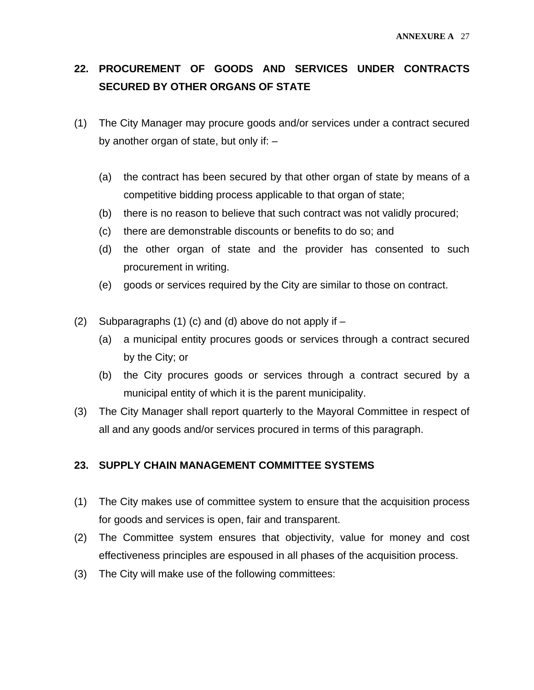### **22. PROCUREMENT OF GOODS AND SERVICES UNDER CONTRACTS SECURED BY OTHER ORGANS OF STATE**

- (1) The City Manager may procure goods and/or services under a contract secured by another organ of state, but only if: –
	- (a) the contract has been secured by that other organ of state by means of a competitive bidding process applicable to that organ of state;
	- (b) there is no reason to believe that such contract was not validly procured;
	- (c) there are demonstrable discounts or benefits to do so; and
	- (d) the other organ of state and the provider has consented to such procurement in writing.
	- (e) goods or services required by the City are similar to those on contract.
- (2) Subparagraphs (1) (c) and (d) above do not apply if
	- (a) a municipal entity procures goods or services through a contract secured by the City; or
	- (b) the City procures goods or services through a contract secured by a municipal entity of which it is the parent municipality.
- (3) The City Manager shall report quarterly to the Mayoral Committee in respect of all and any goods and/or services procured in terms of this paragraph.

#### **23. SUPPLY CHAIN MANAGEMENT COMMITTEE SYSTEMS**

- (1) The City makes use of committee system to ensure that the acquisition process for goods and services is open, fair and transparent.
- (2) The Committee system ensures that objectivity, value for money and cost effectiveness principles are espoused in all phases of the acquisition process.
- (3) The City will make use of the following committees: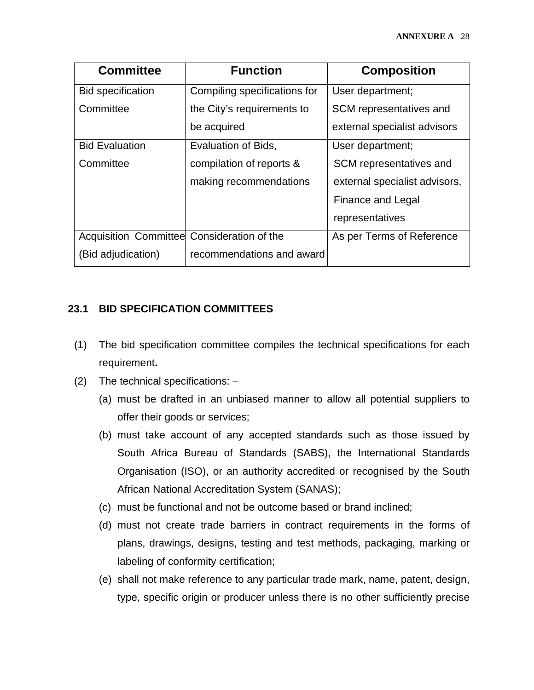| <b>Committee</b>                           | <b>Function</b>              | <b>Composition</b>            |
|--------------------------------------------|------------------------------|-------------------------------|
| <b>Bid specification</b>                   | Compiling specifications for | User department;              |
| Committee                                  | the City's requirements to   | SCM representatives and       |
|                                            | be acquired                  | external specialist advisors  |
| <b>Bid Evaluation</b>                      | Evaluation of Bids,          | User department;              |
| Committee                                  | compilation of reports &     | SCM representatives and       |
|                                            | making recommendations       | external specialist advisors, |
|                                            |                              | Finance and Legal             |
|                                            |                              | representatives               |
| Acquisition Committee Consideration of the |                              | As per Terms of Reference     |
| (Bid adjudication)                         | recommendations and award    |                               |

#### **23.1 BID SPECIFICATION COMMITTEES**

- (1) The bid specification committee compiles the technical specifications for each requirement**.**
- (2) The technical specifications:
	- (a) must be drafted in an unbiased manner to allow all potential suppliers to offer their goods or services;
	- (b) must take account of any accepted standards such as those issued by South Africa Bureau of Standards (SABS), the International Standards Organisation (ISO), or an authority accredited or recognised by the South African National Accreditation System (SANAS);
	- (c) must be functional and not be outcome based or brand inclined;
	- (d) must not create trade barriers in contract requirements in the forms of plans, drawings, designs, testing and test methods, packaging, marking or labeling of conformity certification;
	- (e) shall not make reference to any particular trade mark, name, patent, design, type, specific origin or producer unless there is no other sufficiently precise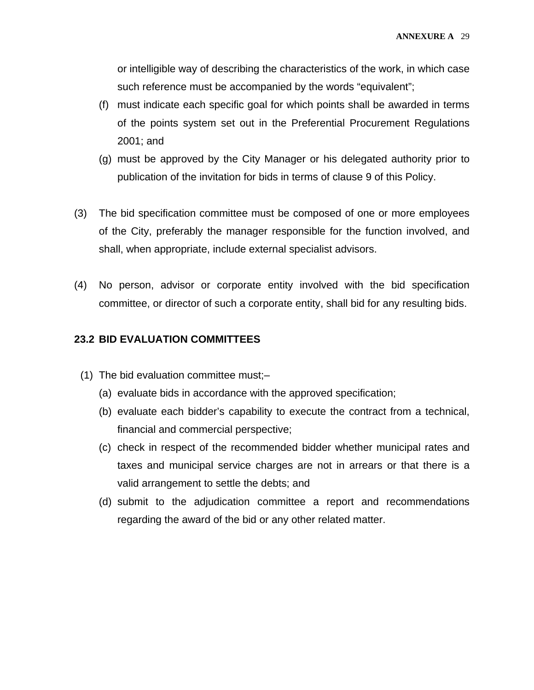or intelligible way of describing the characteristics of the work, in which case such reference must be accompanied by the words "equivalent";

- (f) must indicate each specific goal for which points shall be awarded in terms of the points system set out in the Preferential Procurement Regulations 2001; and
- (g) must be approved by the City Manager or his delegated authority prior to publication of the invitation for bids in terms of clause 9 of this Policy.
- (3) The bid specification committee must be composed of one or more employees of the City, preferably the manager responsible for the function involved, and shall, when appropriate, include external specialist advisors.
- (4) No person, advisor or corporate entity involved with the bid specification committee, or director of such a corporate entity, shall bid for any resulting bids.

#### **23.2 BID EVALUATION COMMITTEES**

- (1) The bid evaluation committee must;–
	- (a) evaluate bids in accordance with the approved specification;
	- (b) evaluate each bidder's capability to execute the contract from a technical, financial and commercial perspective;
	- (c) check in respect of the recommended bidder whether municipal rates and taxes and municipal service charges are not in arrears or that there is a valid arrangement to settle the debts; and
	- (d) submit to the adjudication committee a report and recommendations regarding the award of the bid or any other related matter.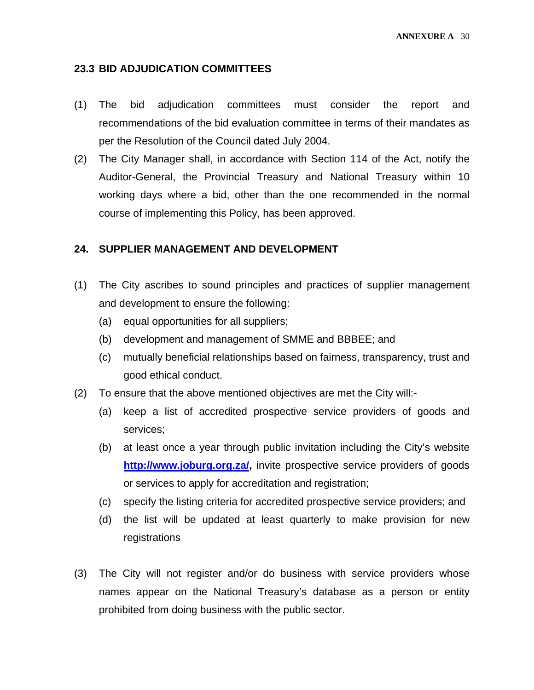#### **23.3 BID ADJUDICATION COMMITTEES**

- (1) The bid adjudication committees must consider the report and recommendations of the bid evaluation committee in terms of their mandates as per the Resolution of the Council dated July 2004.
- (2) The City Manager shall, in accordance with Section 114 of the Act, notify the Auditor-General, the Provincial Treasury and National Treasury within 10 working days where a bid, other than the one recommended in the normal course of implementing this Policy, has been approved.

#### **24. SUPPLIER MANAGEMENT AND DEVELOPMENT**

- (1) The City ascribes to sound principles and practices of supplier management and development to ensure the following:
	- (a) equal opportunities for all suppliers;
	- (b) development and management of SMME and BBBEE; and
	- (c) mutually beneficial relationships based on fairness, transparency, trust and good ethical conduct.
- (2) To ensure that the above mentioned objectives are met the City will:-
	- (a) keep a list of accredited prospective service providers of goods and services;
	- (b) at least once a year through public invitation including the City's website **[http://www.joburg.org.za/,](http://www.joburg.org.za/)** invite prospective service providers of goods or services to apply for accreditation and registration;
	- (c) specify the listing criteria for accredited prospective service providers; and
	- (d) the list will be updated at least quarterly to make provision for new registrations
- (3) The City will not register and/or do business with service providers whose names appear on the National Treasury's database as a person or entity prohibited from doing business with the public sector.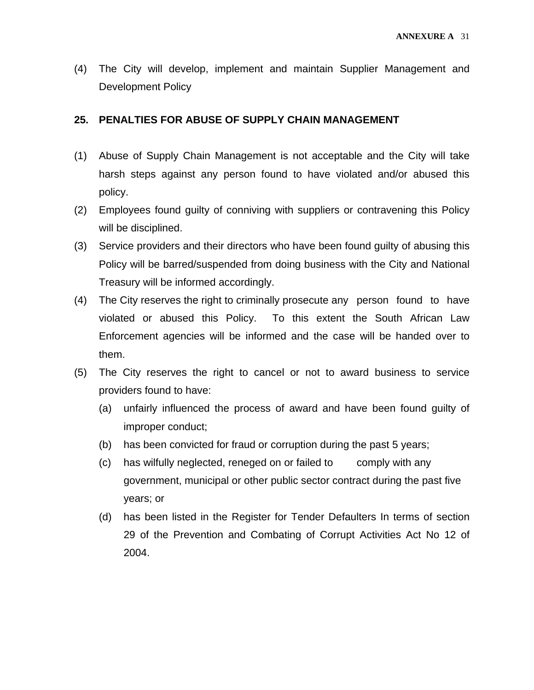(4) The City will develop, implement and maintain Supplier Management and Development Policy

#### **25. PENALTIES FOR ABUSE OF SUPPLY CHAIN MANAGEMENT**

- (1) Abuse of Supply Chain Management is not acceptable and the City will take harsh steps against any person found to have violated and/or abused this policy.
- (2) Employees found guilty of conniving with suppliers or contravening this Policy will be disciplined.
- (3) Service providers and their directors who have been found guilty of abusing this Policy will be barred/suspended from doing business with the City and National Treasury will be informed accordingly.
- (4) The City reserves the right to criminally prosecute any person found to have violated or abused this Policy. To this extent the South African Law Enforcement agencies will be informed and the case will be handed over to them.
- (5) The City reserves the right to cancel or not to award business to service providers found to have:
	- (a) unfairly influenced the process of award and have been found guilty of improper conduct;
	- (b) has been convicted for fraud or corruption during the past 5 years;
	- (c) has wilfully neglected, reneged on or failed to comply with any government, municipal or other public sector contract during the past five years; or
	- (d) has been listed in the Register for Tender Defaulters In terms of section 29 of the Prevention and Combating of Corrupt Activities Act No 12 of 2004.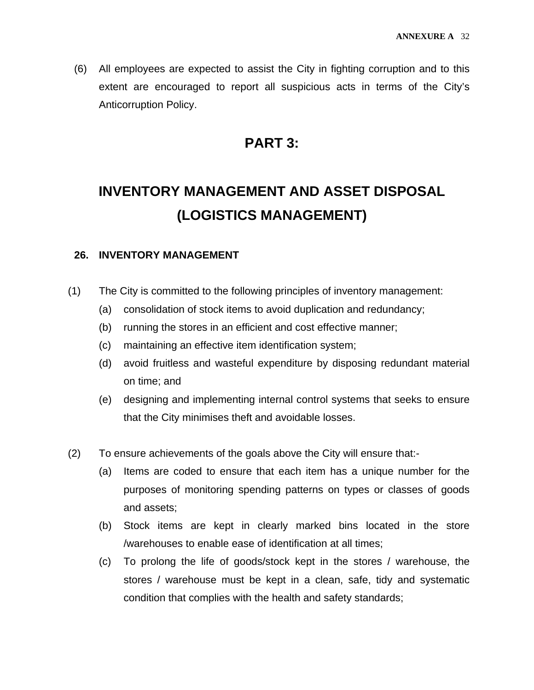(6) All employees are expected to assist the City in fighting corruption and to this extent are encouraged to report all suspicious acts in terms of the City's Anticorruption Policy.

### **PART 3:**

# **INVENTORY MANAGEMENT AND ASSET DISPOSAL (LOGISTICS MANAGEMENT)**

#### **26. INVENTORY MANAGEMENT**

- (1) The City is committed to the following principles of inventory management:
	- (a) consolidation of stock items to avoid duplication and redundancy;
	- (b) running the stores in an efficient and cost effective manner;
	- (c) maintaining an effective item identification system;
	- (d) avoid fruitless and wasteful expenditure by disposing redundant material on time; and
	- (e) designing and implementing internal control systems that seeks to ensure that the City minimises theft and avoidable losses.
- (2) To ensure achievements of the goals above the City will ensure that:-
	- (a) Items are coded to ensure that each item has a unique number for the purposes of monitoring spending patterns on types or classes of goods and assets;
	- (b) Stock items are kept in clearly marked bins located in the store /warehouses to enable ease of identification at all times;
	- (c) To prolong the life of goods/stock kept in the stores / warehouse, the stores / warehouse must be kept in a clean, safe, tidy and systematic condition that complies with the health and safety standards;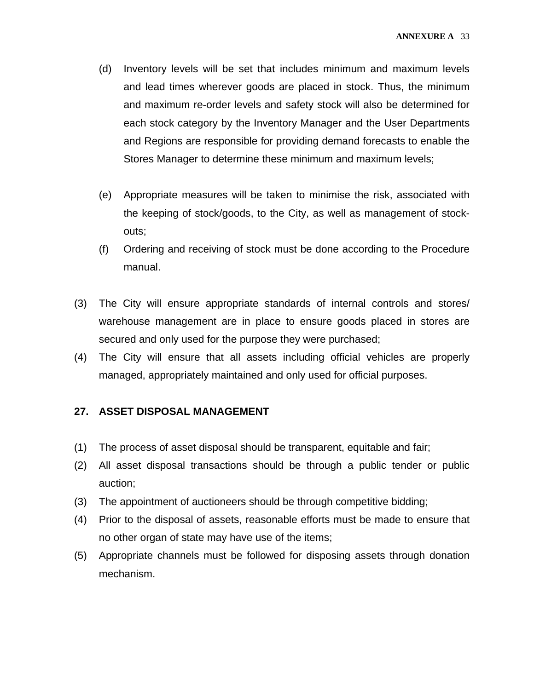- (d) Inventory levels will be set that includes minimum and maximum levels and lead times wherever goods are placed in stock. Thus, the minimum and maximum re-order levels and safety stock will also be determined for each stock category by the Inventory Manager and the User Departments and Regions are responsible for providing demand forecasts to enable the Stores Manager to determine these minimum and maximum levels;
- (e) Appropriate measures will be taken to minimise the risk, associated with the keeping of stock/goods, to the City, as well as management of stockouts;
- (f) Ordering and receiving of stock must be done according to the Procedure manual.
- (3) The City will ensure appropriate standards of internal controls and stores/ warehouse management are in place to ensure goods placed in stores are secured and only used for the purpose they were purchased;
- (4) The City will ensure that all assets including official vehicles are properly managed, appropriately maintained and only used for official purposes.

#### **27. ASSET DISPOSAL MANAGEMENT**

- (1) The process of asset disposal should be transparent, equitable and fair;
- (2) All asset disposal transactions should be through a public tender or public auction;
- (3) The appointment of auctioneers should be through competitive bidding;
- (4) Prior to the disposal of assets, reasonable efforts must be made to ensure that no other organ of state may have use of the items;
- (5) Appropriate channels must be followed for disposing assets through donation mechanism.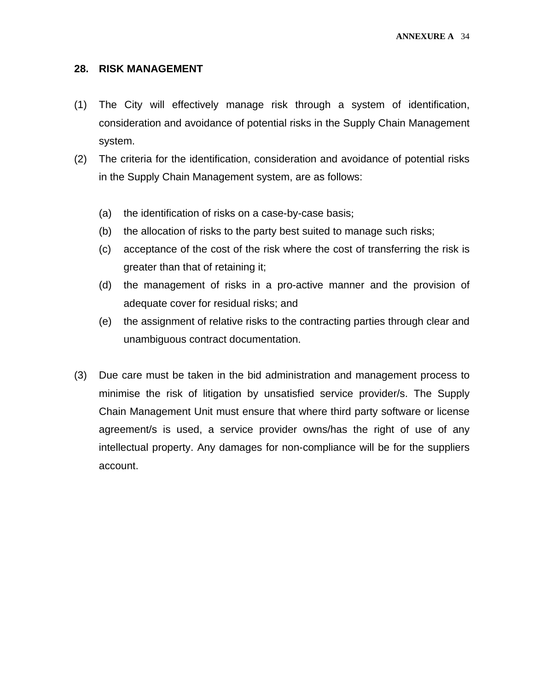#### **28. RISK MANAGEMENT**

- (1) The City will effectively manage risk through a system of identification, consideration and avoidance of potential risks in the Supply Chain Management system.
- (2) The criteria for the identification, consideration and avoidance of potential risks in the Supply Chain Management system, are as follows:
	- (a) the identification of risks on a case-by-case basis;
	- (b) the allocation of risks to the party best suited to manage such risks;
	- (c) acceptance of the cost of the risk where the cost of transferring the risk is greater than that of retaining it;
	- (d) the management of risks in a pro-active manner and the provision of adequate cover for residual risks; and
	- (e) the assignment of relative risks to the contracting parties through clear and unambiguous contract documentation.
- (3) Due care must be taken in the bid administration and management process to minimise the risk of litigation by unsatisfied service provider/s. The Supply Chain Management Unit must ensure that where third party software or license agreement/s is used, a service provider owns/has the right of use of any intellectual property. Any damages for non-compliance will be for the suppliers account.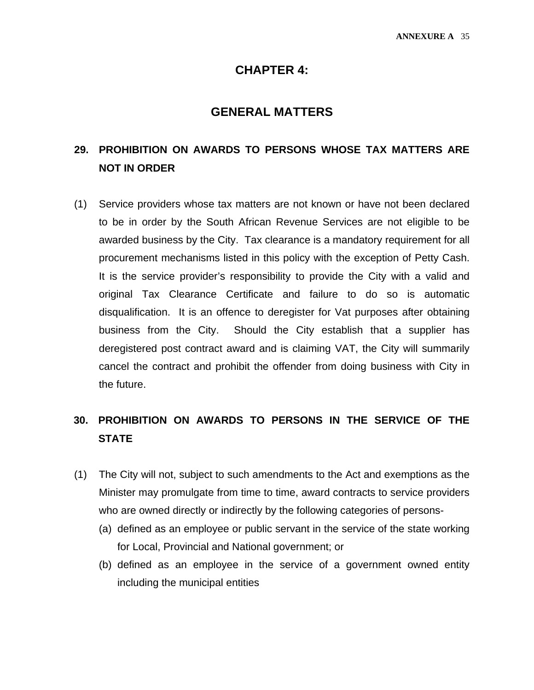#### **CHAPTER 4:**

#### **GENERAL MATTERS**

### **29. PROHIBITION ON AWARDS TO PERSONS WHOSE TAX MATTERS ARE NOT IN ORDER**

(1) Service providers whose tax matters are not known or have not been declared to be in order by the South African Revenue Services are not eligible to be awarded business by the City. Tax clearance is a mandatory requirement for all procurement mechanisms listed in this policy with the exception of Petty Cash. It is the service provider's responsibility to provide the City with a valid and original Tax Clearance Certificate and failure to do so is automatic disqualification. It is an offence to deregister for Vat purposes after obtaining business from the City. Should the City establish that a supplier has deregistered post contract award and is claiming VAT, the City will summarily cancel the contract and prohibit the offender from doing business with City in the future.

### **30. PROHIBITION ON AWARDS TO PERSONS IN THE SERVICE OF THE STATE**

- (1) The City will not, subject to such amendments to the Act and exemptions as the Minister may promulgate from time to time, award contracts to service providers who are owned directly or indirectly by the following categories of persons-
	- (a) defined as an employee or public servant in the service of the state working for Local, Provincial and National government; or
	- (b) defined as an employee in the service of a government owned entity including the municipal entities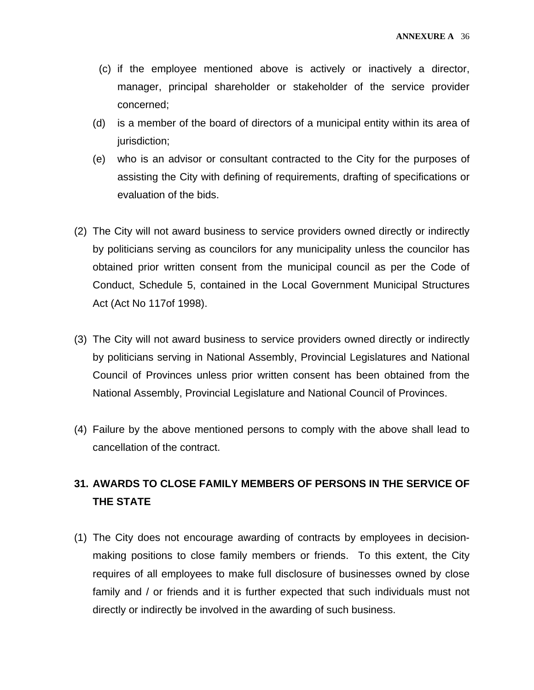- (c) if the employee mentioned above is actively or inactively a director, manager, principal shareholder or stakeholder of the service provider concerned;
- (d) is a member of the board of directors of a municipal entity within its area of jurisdiction;
- (e) who is an advisor or consultant contracted to the City for the purposes of assisting the City with defining of requirements, drafting of specifications or evaluation of the bids.
- (2) The City will not award business to service providers owned directly or indirectly by politicians serving as councilors for any municipality unless the councilor has obtained prior written consent from the municipal council as per the Code of Conduct, Schedule 5, contained in the Local Government Municipal Structures Act (Act No 117of 1998).
- (3) The City will not award business to service providers owned directly or indirectly by politicians serving in National Assembly, Provincial Legislatures and National Council of Provinces unless prior written consent has been obtained from the National Assembly, Provincial Legislature and National Council of Provinces.
- (4) Failure by the above mentioned persons to comply with the above shall lead to cancellation of the contract.

### **31. AWARDS TO CLOSE FAMILY MEMBERS OF PERSONS IN THE SERVICE OF THE STATE**

(1) The City does not encourage awarding of contracts by employees in decisionmaking positions to close family members or friends. To this extent, the City requires of all employees to make full disclosure of businesses owned by close family and / or friends and it is further expected that such individuals must not directly or indirectly be involved in the awarding of such business.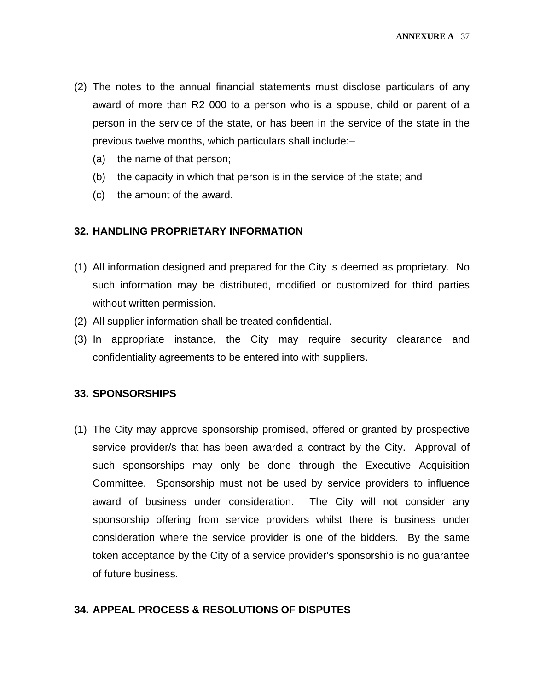- (2) The notes to the annual financial statements must disclose particulars of any award of more than R2 000 to a person who is a spouse, child or parent of a person in the service of the state, or has been in the service of the state in the previous twelve months, which particulars shall include:–
	- (a) the name of that person;
	- (b) the capacity in which that person is in the service of the state; and
	- (c) the amount of the award.

#### **32. HANDLING PROPRIETARY INFORMATION**

- (1) All information designed and prepared for the City is deemed as proprietary. No such information may be distributed, modified or customized for third parties without written permission.
- (2) All supplier information shall be treated confidential.
- (3) In appropriate instance, the City may require security clearance and confidentiality agreements to be entered into with suppliers.

#### **33. SPONSORSHIPS**

(1) The City may approve sponsorship promised, offered or granted by prospective service provider/s that has been awarded a contract by the City. Approval of such sponsorships may only be done through the Executive Acquisition Committee. Sponsorship must not be used by service providers to influence award of business under consideration. The City will not consider any sponsorship offering from service providers whilst there is business under consideration where the service provider is one of the bidders. By the same token acceptance by the City of a service provider's sponsorship is no guarantee of future business.

#### **34. APPEAL PROCESS & RESOLUTIONS OF DISPUTES**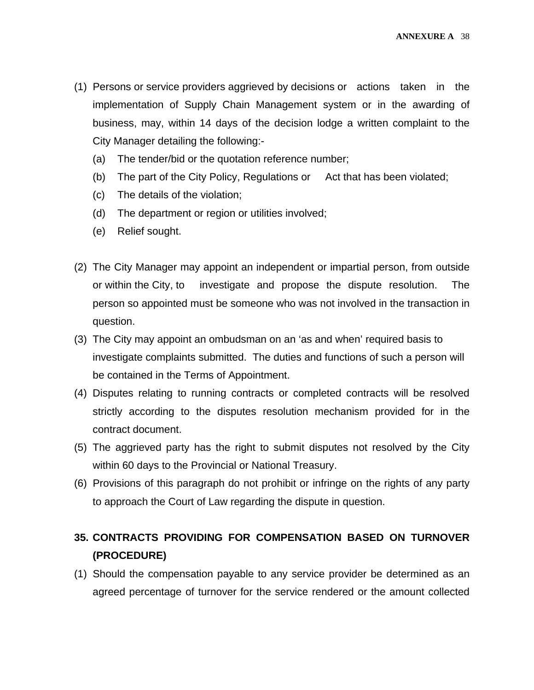- (1) Persons or service providers aggrieved by decisions or actions taken in the implementation of Supply Chain Management system or in the awarding of business, may, within 14 days of the decision lodge a written complaint to the City Manager detailing the following:-
	- (a) The tender/bid or the quotation reference number;
	- (b) The part of the City Policy, Regulations or Act that has been violated;
	- (c) The details of the violation;
	- (d) The department or region or utilities involved;
	- (e) Relief sought.
- (2) The City Manager may appoint an independent or impartial person, from outside or within the City, to investigate and propose the dispute resolution. The person so appointed must be someone who was not involved in the transaction in question.
- (3) The City may appoint an ombudsman on an 'as and when' required basis to investigate complaints submitted. The duties and functions of such a person will be contained in the Terms of Appointment.
- (4) Disputes relating to running contracts or completed contracts will be resolved strictly according to the disputes resolution mechanism provided for in the contract document.
- (5) The aggrieved party has the right to submit disputes not resolved by the City within 60 days to the Provincial or National Treasury.
- (6) Provisions of this paragraph do not prohibit or infringe on the rights of any party to approach the Court of Law regarding the dispute in question.

### **35. CONTRACTS PROVIDING FOR COMPENSATION BASED ON TURNOVER (PROCEDURE)**

(1) Should the compensation payable to any service provider be determined as an agreed percentage of turnover for the service rendered or the amount collected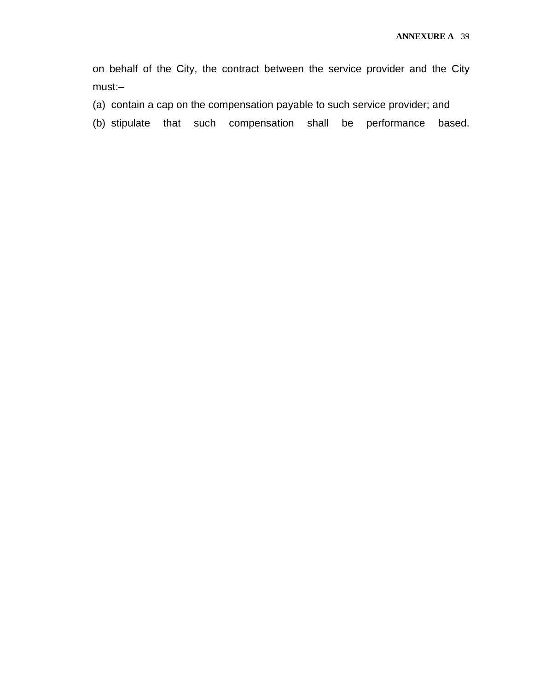on behalf of the City, the contract between the service provider and the City must:–

- (a) contain a cap on the compensation payable to such service provider; and
- (b) stipulate that such compensation shall be performance based.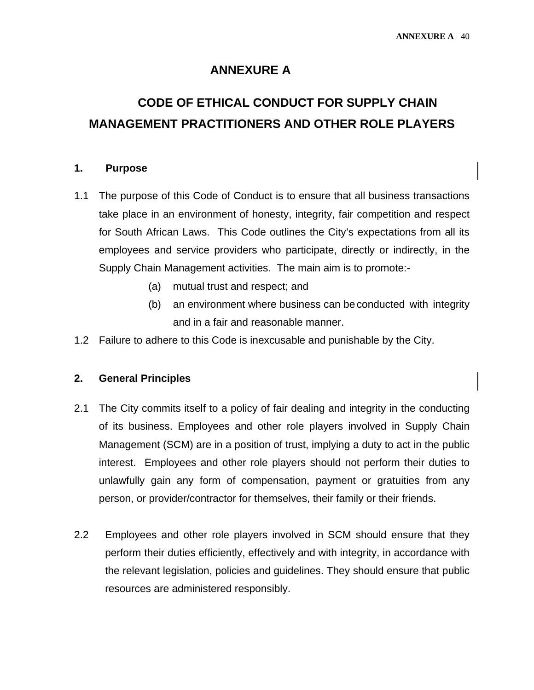#### **ANNEXURE A**

# **CODE OF ETHICAL CONDUCT FOR SUPPLY CHAIN MANAGEMENT PRACTITIONERS AND OTHER ROLE PLAYERS**

#### **1. Purpose**

- 1.1 The purpose of this Code of Conduct is to ensure that all business transactions take place in an environment of honesty, integrity, fair competition and respect for South African Laws. This Code outlines the City's expectations from all its employees and service providers who participate, directly or indirectly, in the Supply Chain Management activities. The main aim is to promote:-
	- (a) mutual trust and respect; and
	- (b) an environment where business can be conducted with integrity and in a fair and reasonable manner.
- 1.2 Failure to adhere to this Code is inexcusable and punishable by the City.

#### **2. General Principles**

- 2.1 The City commits itself to a policy of fair dealing and integrity in the conducting of its business. Employees and other role players involved in Supply Chain Management (SCM) are in a position of trust, implying a duty to act in the public interest. Employees and other role players should not perform their duties to unlawfully gain any form of compensation, payment or gratuities from any person, or provider/contractor for themselves, their family or their friends.
- 2.2 Employees and other role players involved in SCM should ensure that they perform their duties efficiently, effectively and with integrity, in accordance with the relevant legislation, policies and guidelines. They should ensure that public resources are administered responsibly.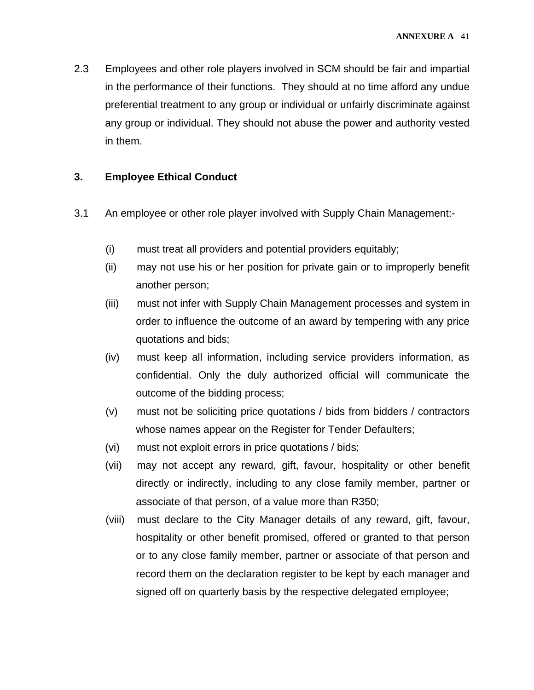2.3 Employees and other role players involved in SCM should be fair and impartial in the performance of their functions. They should at no time afford any undue preferential treatment to any group or individual or unfairly discriminate against any group or individual. They should not abuse the power and authority vested in them.

#### **3. Employee Ethical Conduct**

- 3.1 An employee or other role player involved with Supply Chain Management:-
	- (i) must treat all providers and potential providers equitably;
	- (ii) may not use his or her position for private gain or to improperly benefit another person;
	- (iii) must not infer with Supply Chain Management processes and system in order to influence the outcome of an award by tempering with any price quotations and bids;
	- (iv) must keep all information, including service providers information, as confidential. Only the duly authorized official will communicate the outcome of the bidding process;
	- (v) must not be soliciting price quotations / bids from bidders / contractors whose names appear on the Register for Tender Defaulters;
	- (vi) must not exploit errors in price quotations / bids;
	- (vii) may not accept any reward, gift, favour, hospitality or other benefit directly or indirectly, including to any close family member, partner or associate of that person, of a value more than R350;
	- (viii) must declare to the City Manager details of any reward, gift, favour, hospitality or other benefit promised, offered or granted to that person or to any close family member, partner or associate of that person and record them on the declaration register to be kept by each manager and signed off on quarterly basis by the respective delegated employee;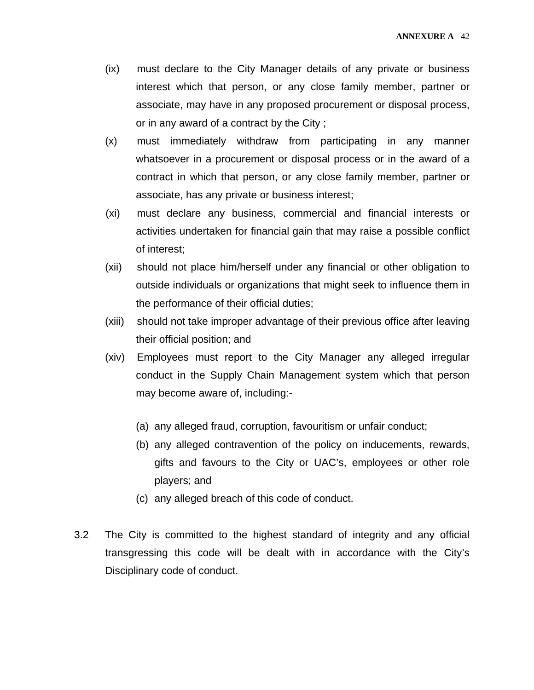- (ix) must declare to the City Manager details of any private or business interest which that person, or any close family member, partner or associate, may have in any proposed procurement or disposal process, or in any award of a contract by the City ;
- (x) must immediately withdraw from participating in any manner whatsoever in a procurement or disposal process or in the award of a contract in which that person, or any close family member, partner or associate, has any private or business interest;
- (xi) must declare any business, commercial and financial interests or activities undertaken for financial gain that may raise a possible conflict of interest;
- (xii) should not place him/herself under any financial or other obligation to outside individuals or organizations that might seek to influence them in the performance of their official duties;
- (xiii) should not take improper advantage of their previous office after leaving their official position; and
- (xiv) Employees must report to the City Manager any alleged irregular conduct in the Supply Chain Management system which that person may become aware of, including:-
	- (a) any alleged fraud, corruption, favouritism or unfair conduct;
	- (b) any alleged contravention of the policy on inducements, rewards, gifts and favours to the City or UAC's, employees or other role players; and
	- (c) any alleged breach of this code of conduct.
- 3.2 The City is committed to the highest standard of integrity and any official transgressing this code will be dealt with in accordance with the City's Disciplinary code of conduct.